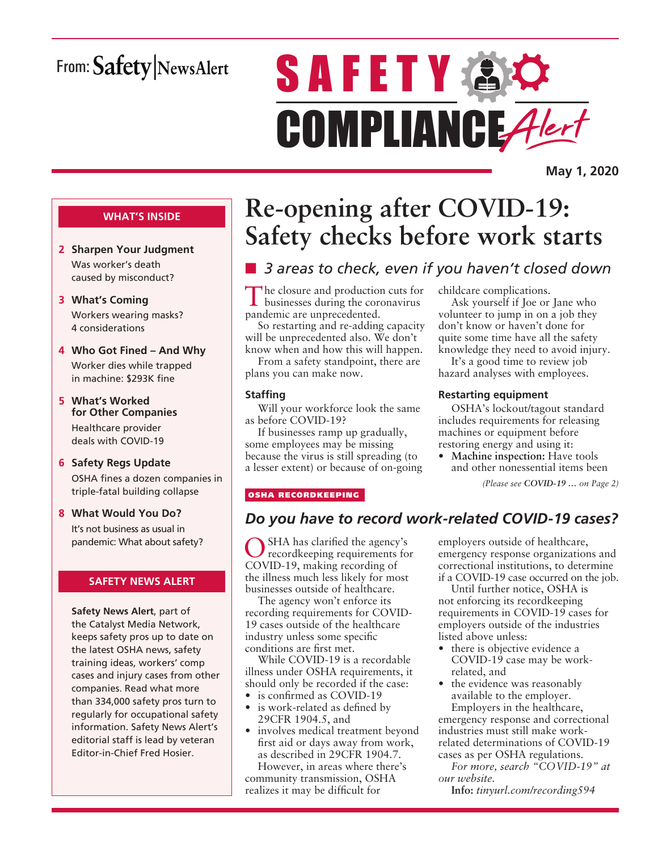## From: Safety NewsAlert

# **SAFETY AC** COMPLIANCE Alert

**May 1, 2020**

#### **WHAT'S INSIDE**

- **2 Sharpen Your Judgment** Was worker's death caused by misconduct?
- **3 What's Coming** Workers wearing masks? 4 considerations
- **4 Who Got Fined And Why** Worker dies while trapped in machine: \$293K fine
- **5 What's Worked for Other Companies** Healthcare provider deals with COVID-19
- **6 Safety Regs Update** OSHA fines a dozen companies in triple-fatal building collapse
- **8 What Would You Do?** It's not business as usual in pandemic: What about safety?

#### **SAFETY NEWS ALERT**

**Safety News Alert**, part of the Catalyst Media Network, keeps safety pros up to date on the latest OSHA news, safety training ideas, workers' comp cases and injury cases from other companies. Read what more than 334,000 safety pros turn to regularly for occupational safety information. Safety News Alert's editorial staff is lead by veteran Editor-in-Chief Fred Hosier.

## **Re-opening after COVID-19: Safety checks before work starts**

## ■ 3 areas to check, even if you haven't closed down

The closure and production cuts for businesses during the coronavirus pandemic are unprecedented.

So restarting and re-adding capacity will be unprecedented also. We don't know when and how this will happen.

From a safety standpoint, there are plans you can make now.

#### **Staffing**

Will your workforce look the same as before COVID-19?

If businesses ramp up gradually, some employees may be missing because the virus is still spreading (to a lesser extent) or because of on-going childcare complications.

Ask yourself if Joe or Jane who volunteer to jump in on a job they don't know or haven't done for quite some time have all the safety knowledge they need to avoid injury.

It's a good time to review job hazard analyses with employees.

#### **Restarting equipment**

OSHA's lockout/tagout standard includes requirements for releasing machines or equipment before restoring energy and using it:

• **Machine inspection:** Have tools and other nonessential items been

*(Please see COVID-19 … on Page 2)*

#### OSHA RECORDKEEPING

### *Do you have to record work-related COVID-19 cases?*

SHA has clarified the agency's recordkeeping requirements for COVID-19, making recording of the illness much less likely for most businesses outside of healthcare.

The agency won't enforce its recording requirements for COVID-19 cases outside of the healthcare industry unless some specific conditions are first met.

While COVID-19 is a recordable illness under OSHA requirements, it should only be recorded if the case:

- is confirmed as COVID-19
- is work-related as defined by 29CFR 1904.5, and
- involves medical treatment beyond first aid or days away from work, as described in 29CFR 1904.7.

However, in areas where there's community transmission, OSHA realizes it may be difficult for

employers outside of healthcare, emergency response organizations and correctional institutions, to determine if a COVID-19 case occurred on the job.

Until further notice, OSHA is not enforcing its recordkeeping requirements in COVID-19 cases for employers outside of the industries listed above unless:

- there is objective evidence a COVID-19 case may be workrelated, and
- the evidence was reasonably available to the employer. Employers in the healthcare, emergency response and correctional industries must still make workrelated determinations of COVID-19 cases as per OSHA regulations.

*For more, search "COVID-19" at our website.*

**Info:** *tinyurl.com/recording594*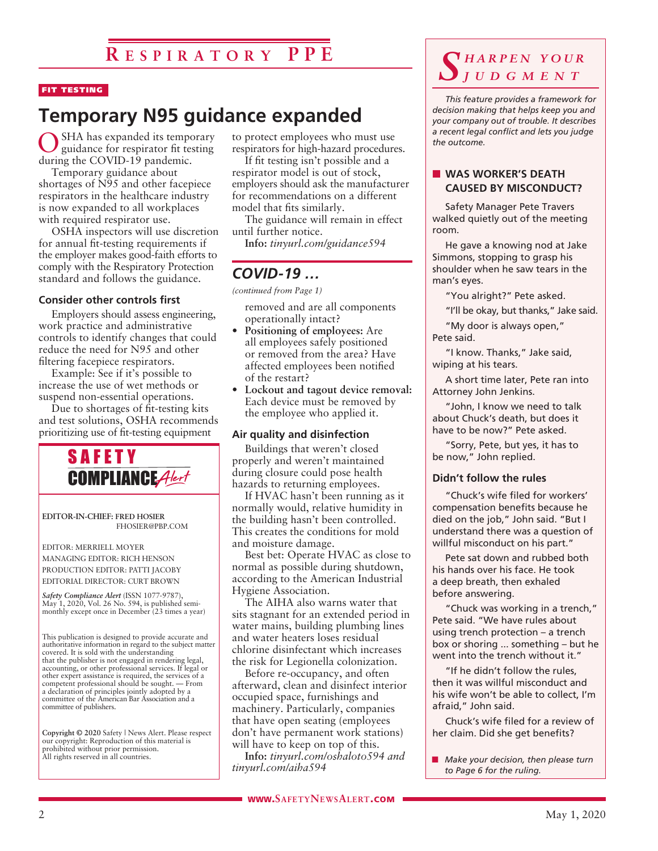#### FIT TESTING

## **Temporary N95 guidance expanded**

SHA has expanded its temporary guidance for respirator fit testing during the COVID-19 pandemic.

Temporary guidance about shortages of N95 and other facepiece respirators in the healthcare industry is now expanded to all workplaces with required respirator use.

OSHA inspectors will use discretion for annual fit-testing requirements if the employer makes good-faith efforts to comply with the Respiratory Protection standard and follows the guidance.

#### **Consider other controls first**

Employers should assess engineering, work practice and administrative controls to identify changes that could reduce the need for N95 and other filtering facepiece respirators.

Example: See if it's possible to increase the use of wet methods or suspend non-essential operations.

Due to shortages of fit-testing kits and test solutions, OSHA recommends prioritizing use of fit-testing equipment



**EDITOR-IN-CHIEF: FRED HOSIER** FHOSIER@PBP.COM

EDITOR: MERRIELL MOYER MANAGING EDITOR: RICH HENSON PRODUCTION EDITOR: PATTI JACOBY EDITORIAL DIRECTOR: CURT BROWN

*Safety Compliance Alert* (ISSN 1077-9787), May 1, 2020, Vol. 26 No. 594, is published semimonthly except once in December (23 times a year)

This publication is designed to provide accurate and authoritative information in regard to the subject matter covered. It is sold with the understanding that the publisher is not engaged in rendering legal, accounting, or other professional services. If legal or other expert assistance is required, the services of a competent professional should be sought. — From a declaration of principles jointly adopted by a committee of the American Bar Association and a committee of publishers.

**Copyright © 2020** Safety | News Alert. Please respect our copyright: Reproduction of this material is prohibited without prior permission. All rights reserved in all countries.

to protect employees who must use respirators for high-hazard procedures.

If fit testing isn't possible and a respirator model is out of stock, employers should ask the manufacturer for recommendations on a different model that fits similarly.

The guidance will remain in effect until further notice.

**Info:** *tinyurl.com/guidance594*

## *COVID-19 …*

*(continued from Page 1)*

removed and are all components operationally intact?

- **Positioning of employees:** Are all employees safely positioned or removed from the area? Have affected employees been notified of the restart?
- **Lockout and tagout device removal:**  Each device must be removed by the employee who applied it.

#### **Air quality and disinfection**

Buildings that weren't closed properly and weren't maintained during closure could pose health hazards to returning employees.

If HVAC hasn't been running as it normally would, relative humidity in the building hasn't been controlled. This creates the conditions for mold and moisture damage.

Best bet: Operate HVAC as close to normal as possible during shutdown, according to the American Industrial Hygiene Association.

The AIHA also warns water that sits stagnant for an extended period in water mains, building plumbing lines and water heaters loses residual chlorine disinfectant which increases the risk for Legionella colonization.

Before re-occupancy, and often afterward, clean and disinfect interior occupied space, furnishings and machinery. Particularly, companies that have open seating (employees don't have permanent work stations) will have to keep on top of this.

**Info:** *tinyurl.com/oshaloto594 and tinyurl.com/aiha594*

### *S h a r p e n y o u r j u d g m e n t*

*This feature provides a framework for decision making that helps keep you and your company out of trouble. It describes a recent legal conflict and lets you judge the outcome.*

#### **NORKER'S DEATH CAUSED BY MISCONDUCT?**

Safety Manager Pete Travers walked quietly out of the meeting room.

He gave a knowing nod at Jake Simmons, stopping to grasp his shoulder when he saw tears in the man's eyes.

"You alright?" Pete asked.

"I'll be okay, but thanks," Jake said.

"My door is always open," Pete said.

"I know. Thanks," Jake said, wiping at his tears.

A short time later, Pete ran into Attorney John Jenkins.

"John, I know we need to talk about Chuck's death, but does it have to be now?" Pete asked.

"Sorry, Pete, but yes, it has to be now," John replied.

#### **Didn't follow the rules**

"Chuck's wife filed for workers' compensation benefits because he died on the job," John said. "But I understand there was a question of willful misconduct on his part."

Pete sat down and rubbed both his hands over his face. He took a deep breath, then exhaled before answering.

"Chuck was working in a trench," Pete said. "We have rules about using trench protection – a trench box or shoring ... something – but he went into the trench without it."

"If he didn't follow the rules, then it was willful misconduct and his wife won't be able to collect, I'm afraid," John said.

Chuck's wife filed for a review of her claim. Did she get benefits?

**n** *Make your decision, then please turn to Page 6 for the ruling.*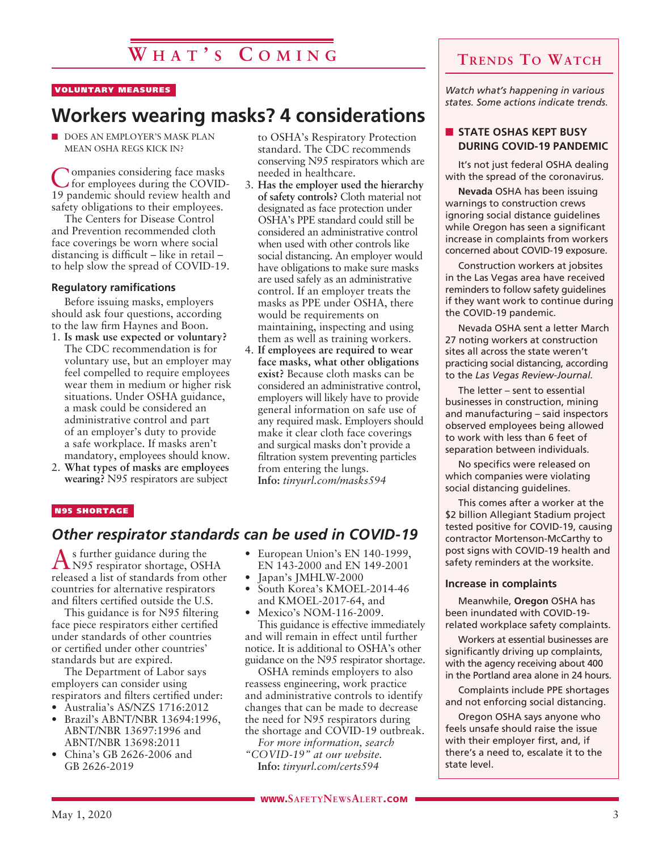## **W h a t ' s C o m i n g**

#### VOLUNTARY MEASURES

## **Workers wearing masks? 4 considerations**

DOES AN EMPLOYER'S MASK PLAN MEAN OSHA REGS KICK IN?

Companies considering face masks for employees during the COVID-19 pandemic should review health and safety obligations to their employees.

The Centers for Disease Control and Prevention recommended cloth face coverings be worn where social distancing is difficult – like in retail – to help slow the spread of COVID-19.

#### **Regulatory ramifications**

Before issuing masks, employers should ask four questions, according to the law firm Haynes and Boon.

- 1. **Is mask use expected or voluntary?** The CDC recommendation is for voluntary use, but an employer may feel compelled to require employees wear them in medium or higher risk situations. Under OSHA guidance, a mask could be considered an administrative control and part of an employer's duty to provide a safe workplace. If masks aren't mandatory, employees should know.
- 2. **What types of masks are employees wearing?** N95 respirators are subject

to OSHA's Respiratory Protection standard. The CDC recommends conserving N95 respirators which are needed in healthcare.

- 3. **Has the employer used the hierarchy of safety controls?** Cloth material not designated as face protection under OSHA's PPE standard could still be considered an administrative control when used with other controls like social distancing. An employer would have obligations to make sure masks are used safely as an administrative control. If an employer treats the masks as PPE under OSHA, there would be requirements on maintaining, inspecting and using them as well as training workers.
- 4. **If employees are required to wear face masks, what other obligations exist?** Because cloth masks can be considered an administrative control, employers will likely have to provide general information on safe use of any required mask. Employers should make it clear cloth face coverings and surgical masks don't provide a filtration system preventing particles from entering the lungs. **Info:** *tinyurl.com/masks594*

#### N95 SHORTAGE

### *Other respirator standards can be used in COVID-19*

As further guidance during the N95 respirator shortage, OSHA released a list of standards from other countries for alternative respirators and filters certified outside the U.S.

This guidance is for N95 filtering face piece respirators either certified under standards of other countries or certified under other countries' standards but are expired.

The Department of Labor says employers can consider using respirators and filters certified under:

- Australia's AS/NZS 1716:2012
- Brazil's ABNT/NBR 13694:1996, ABNT/NBR 13697:1996 and ABNT/NBR 13698:2011
- China's GB 2626-2006 and GB 2626-2019
- European Union's EN 140-1999, EN 143-2000 and EN 149-2001
- Japan's JMHLW-2000
- South Korea's KMOEL-2014-46 and KMOEL-2017-64, and
- Mexico's NOM-116-2009.

This guidance is effective immediately and will remain in effect until further notice. It is additional to OSHA's other guidance on the N95 respirator shortage.

OSHA reminds employers to also reassess engineering, work practice and administrative controls to identify changes that can be made to decrease the need for N95 respirators during the shortage and COVID-19 outbreak.

*For more information, search "COVID-19" at our website.* **Info:** *tinyurl.com/certs594*

**Trends To Watch**

*Watch what's happening in various states. Some actions indicate trends.*

#### **N** STATE OSHAS KEPT BUSY **DURING COVID-19 PANDEMIC**

It's not just federal OSHA dealing with the spread of the coronavirus.

**Nevada** OSHA has been issuing warnings to construction crews ignoring social distance guidelines while Oregon has seen a significant increase in complaints from workers concerned about COVID-19 exposure.

Construction workers at jobsites in the Las Vegas area have received reminders to follow safety guidelines if they want work to continue during the COVID-19 pandemic.

Nevada OSHA sent a letter March 27 noting workers at construction sites all across the state weren't practicing social distancing, according to the *Las Vegas Review-Journal.*

The letter – sent to essential businesses in construction, mining and manufacturing – said inspectors observed employees being allowed to work with less than 6 feet of separation between individuals.

No specifics were released on which companies were violating social distancing guidelines.

This comes after a worker at the \$2 billion Allegiant Stadium project tested positive for COVID-19, causing contractor Mortenson-McCarthy to post signs with COVID-19 health and safety reminders at the worksite.

#### **Increase in complaints**

Meanwhile, **Oregon** OSHA has been inundated with COVID-19 related workplace safety complaints.

Workers at essential businesses are significantly driving up complaints, with the agency receiving about 400 in the Portland area alone in 24 hours.

Complaints include PPE shortages and not enforcing social distancing.

Oregon OSHA says anyone who feels unsafe should raise the issue with their employer first, and, if there's a need to, escalate it to the state level.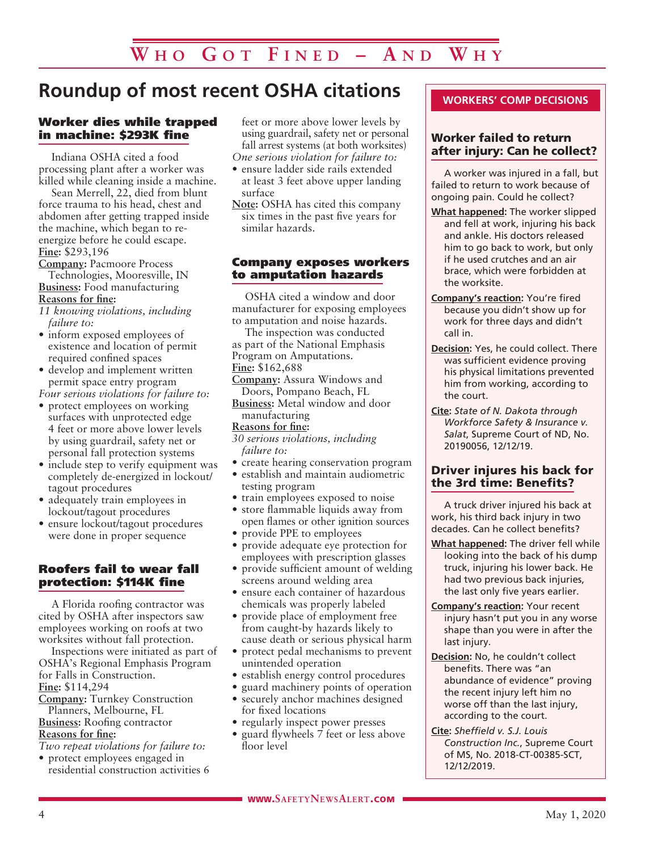## **Roundup of most recent OSHA citations**

#### Worker dies while trapped in machine: \$293K fine

Indiana OSHA cited a food processing plant after a worker was killed while cleaning inside a machine.

Sean Merrell, 22, died from blunt force trauma to his head, chest and abdomen after getting trapped inside the machine, which began to reenergize before he could escape. **Fine:** \$293,196

**Company:** Pacmoore Process Technologies, Mooresville, IN **Business:** Food manufacturing **Reasons for fine:**

- *11 knowing violations, including failure to:*
- inform exposed employees of existence and location of permit required confined spaces
- develop and implement written permit space entry program

*Four serious violations for failure to:* • protect employees on working

- surfaces with unprotected edge 4 feet or more above lower levels by using guardrail, safety net or personal fall protection systems
- include step to verify equipment was completely de-energized in lockout/ tagout procedures
- adequately train employees in lockout/tagout procedures
- ensure lockout/tagout procedures were done in proper sequence

#### Roofers fail to wear fall protection: \$114K fine

A Florida roofing contractor was cited by OSHA after inspectors saw employees working on roofs at two worksites without fall protection.

Inspections were initiated as part of OSHA's Regional Emphasis Program for Falls in Construction.

**Fine:** \$114,294

**Company:** Turnkey Construction Planners, Melbourne, FL

**Business:** Roofing contractor **Reasons for fine:**

*Two repeat violations for failure to:* • protect employees engaged in

residential construction activities 6

feet or more above lower levels by using guardrail, safety net or personal fall arrest systems (at both worksites)

- *One serious violation for failure to:*
- ensure ladder side rails extended at least 3 feet above upper landing surface
- **Note:** OSHA has cited this company six times in the past five years for similar hazards.

#### Company exposes workers to amputation hazards

OSHA cited a window and door manufacturer for exposing employees to amputation and noise hazards.

- The inspection was conducted as part of the National Emphasis Program on Amputations. **Fine:** \$162,688
- **Company:** Assura Windows and Doors, Pompano Beach, FL
- **Business:** Metal window and door manufacturing

#### **Reasons for fine:**

*30 serious violations, including failure to:*

- create hearing conservation program
- establish and maintain audiometric testing program
- train employees exposed to noise
- store flammable liquids away from open flames or other ignition sources
- provide PPE to employees
- provide adequate eye protection for employees with prescription glasses
- provide sufficient amount of welding screens around welding area
- ensure each container of hazardous chemicals was properly labeled
- provide place of employment free from caught-by hazards likely to cause death or serious physical harm
- protect pedal mechanisms to prevent unintended operation
- establish energy control procedures
- guard machinery points of operation
- securely anchor machines designed for fixed locations
- regularly inspect power presses
- guard flywheels 7 feet or less above floor level

#### **WORKERS' COMP DECISIONS**

#### Worker failed to return after injury: Can he collect?

A worker was injured in a fall, but failed to return to work because of ongoing pain. Could he collect?

- **What happened:** The worker slipped and fell at work, injuring his back and ankle. His doctors released him to go back to work, but only if he used crutches and an air brace, which were forbidden at the worksite.
- **Company's reaction:** You're fired because you didn't show up for work for three days and didn't call in.
- **Decision:** Yes, he could collect. There was sufficient evidence proving his physical limitations prevented him from working, according to the court.
- **Cite:** *State of N. Dakota through Workforce Safety & Insurance v. Salat*, Supreme Court of ND, No. 20190056, 12/12/19.

#### Driver injures his back for the 3rd time: Benefits?

A truck driver injured his back at work, his third back injury in two decades. Can he collect benefits?

- **What happened:** The driver fell while looking into the back of his dump truck, injuring his lower back. He had two previous back injuries, the last only five years earlier.
- **Company's reaction:** Your recent injury hasn't put you in any worse shape than you were in after the last injury.
- **Decision:** No, he couldn't collect benefits. There was "an abundance of evidence" proving the recent injury left him no worse off than the last injury, according to the court.
- **Cite:** *Sheffield v. S.J. Louis Construction Inc.*, Supreme Court of MS, No. 2018-CT-00385-SCT, 12/12/2019.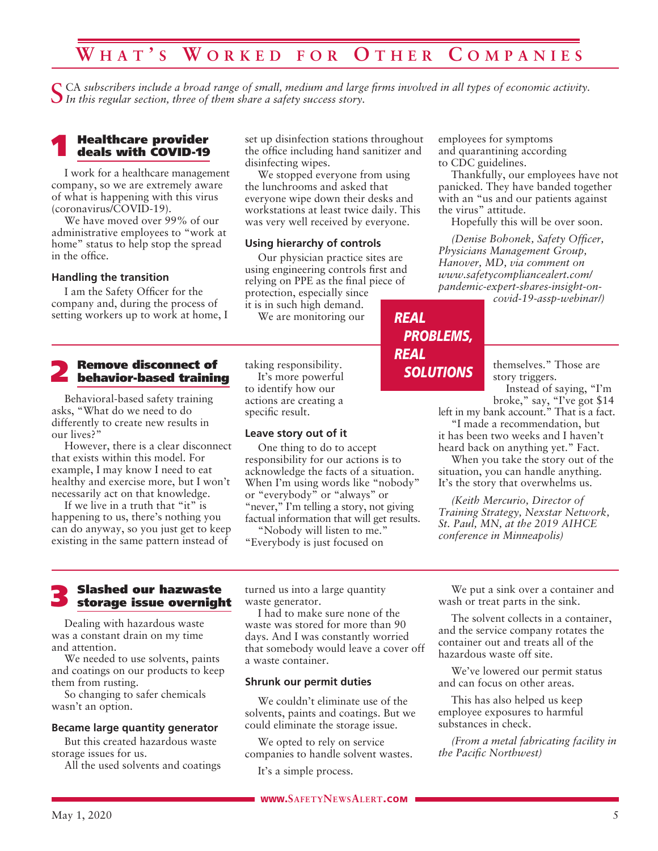## **W h a t ' s W o r k e d f o r O t h e r C o m p a n i e s**

CA subscribers include a broad range of small, medium and large firms involved in all types of economic activity. *In this regular section, three of them share a safety success story.*

## 1 Healthcare provider deals with COVID-19

I work for a healthcare management company, so we are extremely aware of what is happening with this virus (coronavirus/COVID-19).

We have moved over 99% of our administrative employees to "work at home" status to help stop the spread in the office.

#### **Handling the transition**

I am the Safety Officer for the company and, during the process of setting workers up to work at home, I

## 2 Remove disconnect of behavior-based training

Behavioral-based safety training asks, "What do we need to do differently to create new results in our lives?"

However, there is a clear disconnect that exists within this model. For example, I may know I need to eat healthy and exercise more, but I won't necessarily act on that knowledge.

If we live in a truth that "it" is happening to us, there's nothing you can do anyway, so you just get to keep existing in the same pattern instead of

set up disinfection stations throughout the office including hand sanitizer and disinfecting wipes.

We stopped everyone from using the lunchrooms and asked that everyone wipe down their desks and workstations at least twice daily. This was very well received by everyone.

#### **Using hierarchy of controls**

Our physician practice sites are using engineering controls first and relying on PPE as the final piece of protection, especially since

it is in such high demand. We are monitoring our

taking responsibility. It's more powerful to identify how our actions are creating a specific result.

#### **Leave story out of it**

One thing to do to accept responsibility for our actions is to acknowledge the facts of a situation. When I'm using words like "nobody" or "everybody" or "always" or "never," I'm telling a story, not giving factual information that will get results.

"Nobody will listen to me." "Everybody is just focused on

employees for symptoms and quarantining according to CDC guidelines.

Thankfully, our employees have not panicked. They have banded together with an "us and our patients against the virus" attitude.

Hopefully this will be over soon.

*(Denise Bohonek, Safety Officer, Physicians Management Group, Hanover, MD, via comment on www.safetycompliancealert.com/ pandemic-expert-shares-insight-on-*

*covid-19-assp-webinar/)*

## *REAL PROBLEMS, REAL SOLUTIONS*

themselves." Those are story triggers.

Instead of saying, "I'm broke," say, "I've got \$14

left in my bank account." That is a fact. "I made a recommendation, but

it has been two weeks and I haven't heard back on anything yet." Fact.

When you take the story out of the situation, you can handle anything. It's the story that overwhelms us.

*(Keith Mercurio, Director of Training Strategy, Nexstar Network, St. Paul, MN, at the 2019 AIHCE conference in Minneapolis)*

## 3 Slashed our hazwaste storage issue overnight

Dealing with hazardous waste was a constant drain on my time and attention.

We needed to use solvents, paints and coatings on our products to keep them from rusting.

So changing to safer chemicals wasn't an option.

#### **Became large quantity generator**

But this created hazardous waste storage issues for us.

All the used solvents and coatings

turned us into a large quantity waste generator.

I had to make sure none of the waste was stored for more than 90 days. And I was constantly worried that somebody would leave a cover off a waste container.

#### **Shrunk our permit duties**

We couldn't eliminate use of the solvents, paints and coatings. But we could eliminate the storage issue.

We opted to rely on service companies to handle solvent wastes.

It's a simple process.

We put a sink over a container and wash or treat parts in the sink.

The solvent collects in a container, and the service company rotates the container out and treats all of the hazardous waste off site.

We've lowered our permit status and can focus on other areas.

This has also helped us keep employee exposures to harmful substances in check.

*(From a metal fabricating facility in the Pacific Northwest)*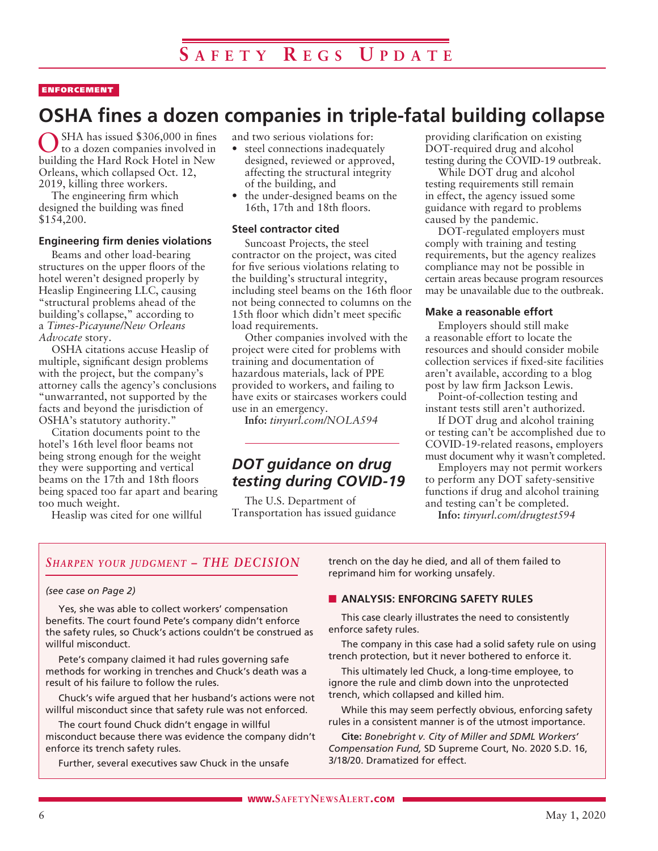#### ENFORCEMENT

## **OSHA fines a dozen companies in triple-fatal building collapse**

SHA has issued \$306,000 in fines to a dozen companies involved in building the Hard Rock Hotel in New Orleans, which collapsed Oct. 12, 2019, killing three workers.

The engineering firm which designed the building was fined \$154,200.

#### **Engineering firm denies violations**

Beams and other load-bearing structures on the upper floors of the hotel weren't designed properly by Heaslip Engineering LLC, causing "structural problems ahead of the building's collapse," according to a *Times-Picayune/New Orleans Advocate* story.

OSHA citations accuse Heaslip of multiple, significant design problems with the project, but the company's attorney calls the agency's conclusions "unwarranted, not supported by the facts and beyond the jurisdiction of OSHA's statutory authority."

Citation documents point to the hotel's 16th level floor beams not being strong enough for the weight they were supporting and vertical beams on the 17th and 18th floors being spaced too far apart and bearing too much weight.

Heaslip was cited for one willful

and two serious violations for:

- steel connections inadequately designed, reviewed or approved, affecting the structural integrity of the building, and
- the under-designed beams on the 16th, 17th and 18th floors.

#### **Steel contractor cited**

Suncoast Projects, the steel contractor on the project, was cited for five serious violations relating to the building's structural integrity, including steel beams on the 16th floor not being connected to columns on the 15th floor which didn't meet specific load requirements.

Other companies involved with the project were cited for problems with training and documentation of hazardous materials, lack of PPE provided to workers, and failing to have exits or staircases workers could use in an emergency.

**Info:** *tinyurl.com/NOLA594*

## *DOT guidance on drug testing during COVID-19*

The U.S. Department of Transportation has issued guidance providing clarification on existing DOT-required drug and alcohol testing during the COVID-19 outbreak.

While DOT drug and alcohol testing requirements still remain in effect, the agency issued some guidance with regard to problems caused by the pandemic.

DOT-regulated employers must comply with training and testing requirements, but the agency realizes compliance may not be possible in certain areas because program resources may be unavailable due to the outbreak.

#### **Make a reasonable effort**

Employers should still make a reasonable effort to locate the resources and should consider mobile collection services if fixed-site facilities aren't available, according to a blog post by law firm Jackson Lewis.

Point-of-collection testing and instant tests still aren't authorized.

If DOT drug and alcohol training or testing can't be accomplished due to COVID-19-related reasons, employers must document why it wasn't completed.

Employers may not permit workers to perform any DOT safety-sensitive functions if drug and alcohol training and testing can't be completed.

**Info:** *tinyurl.com/drugtest594*

#### *Sharpen your judgment – THE DECISION*

#### *(see case on Page 2)*

Yes, she was able to collect workers' compensation benefits. The court found Pete's company didn't enforce the safety rules, so Chuck's actions couldn't be construed as willful misconduct.

Pete's company claimed it had rules governing safe methods for working in trenches and Chuck's death was a result of his failure to follow the rules.

Chuck's wife argued that her husband's actions were not willful misconduct since that safety rule was not enforced.

The court found Chuck didn't engage in willful misconduct because there was evidence the company didn't enforce its trench safety rules.

Further, several executives saw Chuck in the unsafe

trench on the day he died, and all of them failed to reprimand him for working unsafely.

#### **N** ANALYSIS: ENFORCING SAFETY RULES

This case clearly illustrates the need to consistently enforce safety rules.

The company in this case had a solid safety rule on using trench protection, but it never bothered to enforce it.

This ultimately led Chuck, a long-time employee, to ignore the rule and climb down into the unprotected trench, which collapsed and killed him.

While this may seem perfectly obvious, enforcing safety rules in a consistent manner is of the utmost importance.

**Cite:** *Bonebright v. City of Miller and SDML Workers' Compensation Fund,* SD Supreme Court, No. 2020 S.D. 16, 3/18/20. Dramatized for effect.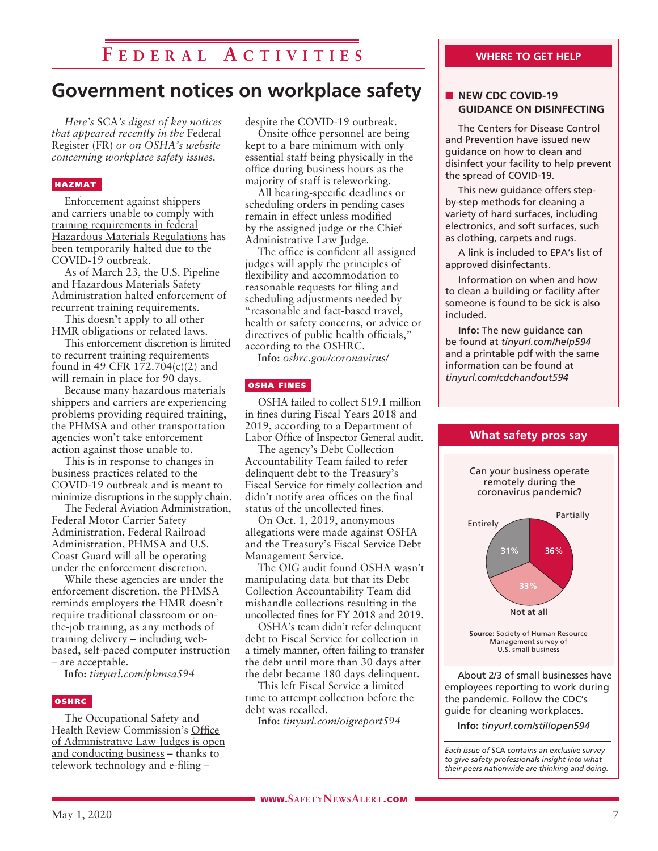## **F e d e r a l A c t i v i t i e s**

## **Government notices on workplace safety**

*Here's* SCA*'s digest of key notices that appeared recently in the* Federal Register (FR) *or on OSHA's website concerning workplace safety issues.* 

#### HAZMAT

Enforcement against shippers and carriers unable to comply with training requirements in federal Hazardous Materials Regulations has been temporarily halted due to the COVID-19 outbreak.

As of March 23, the U.S. Pipeline and Hazardous Materials Safety Administration halted enforcement of recurrent training requirements.

This doesn't apply to all other HMR obligations or related laws.

This enforcement discretion is limited to recurrent training requirements found in 49 CFR 172.704(c)(2) and will remain in place for 90 days.

Because many hazardous materials shippers and carriers are experiencing problems providing required training, the PHMSA and other transportation agencies won't take enforcement action against those unable to.

This is in response to changes in business practices related to the COVID-19 outbreak and is meant to minimize disruptions in the supply chain.

The Federal Aviation Administration, Federal Motor Carrier Safety Administration, Federal Railroad Administration, PHMSA and U.S. Coast Guard will all be operating under the enforcement discretion.

While these agencies are under the enforcement discretion, the PHMSA reminds employers the HMR doesn't require traditional classroom or onthe-job training, as any methods of training delivery – including webbased, self-paced computer instruction – are acceptable.

**Info:** *tinyurl.com/phmsa594*

#### OSHRC

The Occupational Safety and Health Review Commission's Office of Administrative Law Judges is open and conducting business – thanks to telework technology and e-filing –

despite the COVID-19 outbreak.

Onsite office personnel are being kept to a bare minimum with only essential staff being physically in the office during business hours as the majority of staff is teleworking.

All hearing-specific deadlines or scheduling orders in pending cases remain in effect unless modified by the assigned judge or the Chief Administrative Law Judge.

The office is confident all assigned judges will apply the principles of flexibility and accommodation to reasonable requests for filing and scheduling adjustments needed by "reasonable and fact-based travel, health or safety concerns, or advice or directives of public health officials," according to the OSHRC.

**Info:** *oshrc.gov/coronavirus/*

#### OSHA FINES

OSHA failed to collect \$19.1 million in fines during Fiscal Years 2018 and 2019, according to a Department of Labor Office of Inspector General audit.

The agency's Debt Collection Accountability Team failed to refer delinquent debt to the Treasury's Fiscal Service for timely collection and didn't notify area offices on the final status of the uncollected fines.

On Oct. 1, 2019, anonymous allegations were made against OSHA and the Treasury's Fiscal Service Debt Management Service.

The OIG audit found OSHA wasn't manipulating data but that its Debt Collection Accountability Team did mishandle collections resulting in the uncollected fines for FY 2018 and 2019.

OSHA's team didn't refer delinquent debt to Fiscal Service for collection in a timely manner, often failing to transfer the debt until more than 30 days after the debt became 180 days delinquent.

This left Fiscal Service a limited time to attempt collection before the debt was recalled.

**Info:** *tinyurl.com/oigreport594*

#### **WHERE TO GET HELP**

#### **NEW CDC COVID-19 GUIDANCE ON DISINFECTING**

The Centers for Disease Control and Prevention have issued new guidance on how to clean and disinfect your facility to help prevent the spread of COVID-19.

This new guidance offers stepby-step methods for cleaning a variety of hard surfaces, including electronics, and soft surfaces, such as clothing, carpets and rugs.

A link is included to EPA's list of approved disinfectants.

Information on when and how to clean a building or facility after someone is found to be sick is also included.

**Info:** The new guidance can be found at *tinyurl.com/help594* and a printable pdf with the same information can be found at *tinyurl.com/cdchandout594*



Management survey of U.S. small business

About 2/3 of small businesses have employees reporting to work during the pandemic. Follow the CDC's guide for cleaning workplaces.

**Info:** *tinyurl.com/stillopen594*

*Each issue of* SCA *contains an exclusive survey to give safety professionals insight into what their peers nationwide are thinking and doing.*

#### **What safety pros say**